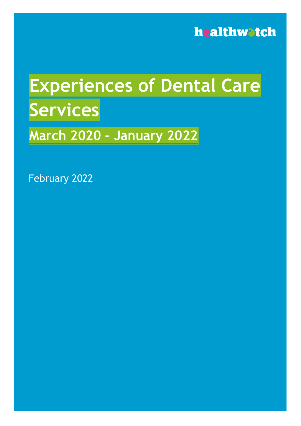

# **Experiences of Dental Care Services March 2020 – January 2022**

February 2022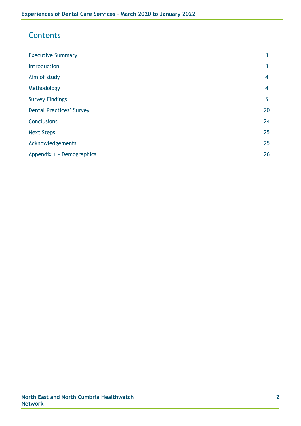## **Contents**

| <b>Executive Summary</b>        | 3  |
|---------------------------------|----|
| Introduction                    | 3  |
| Aim of study                    | 4  |
| Methodology                     | 4  |
| <b>Survey Findings</b>          | 5  |
| <b>Dental Practices' Survey</b> | 20 |
| <b>Conclusions</b>              | 24 |
| <b>Next Steps</b>               | 25 |
| Acknowledgements                | 25 |
| Appendix 1 - Demographics       | 26 |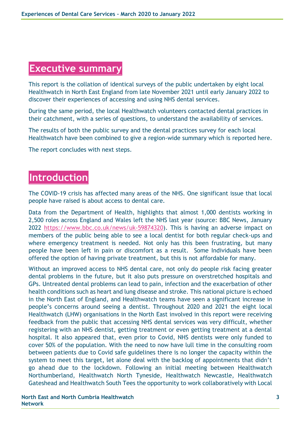## **Executive summary**

This report is the collation of identical surveys of the public undertaken by eight local Healthwatch in North East England from late November 2021 until early January 2022 to discover their experiences of accessing and using NHS dental services.

During the same period, the local Healthwatch volunteers contacted dental practices in their catchment, with a series of questions, to understand the availability of services.

The results of both the public survey and the dental practices survey for each local Healthwatch have been combined to give a region-wide summary which is reported here.

The report concludes with next steps.

# **Introduction**

The COVID-19 crisis has affected many areas of the NHS. One significant issue that local people have raised is about access to dental care.

Data from the Department of Health, highlights that almost 1,000 dentists working in 2,500 roles across England and Wales left the NHS last year (source: BBC News, January 2022 [https://www.bbc.co.uk/news/uk-59874320\)](https://www.bbc.co.uk/news/uk-59874320). This is having an adverse impact on members of the public being able to see a local dentist for both regular check-ups and where emergency treatment is needed. Not only has this been frustrating, but many people have been left in pain or discomfort as a result. Some Individuals have been offered the option of having private treatment, but this is not affordable for many.

Without an improved access to NHS dental care, not only do people risk facing greater dental problems in the future, but it also puts pressure on overstretched hospitals and GPs. Untreated dental problems can lead to pain, infection and the exacerbation of other health conditions such as heart and lung disease and stroke. This national picture is echoed in the North East of England, and Healthwatch teams have seen a significant increase in people's concerns around seeing a dentist. Throughout 2020 and 2021 the eight local Healthwatch (LHW) organisations in the North East involved in this report were receiving feedback from the public that accessing NHS dental services was very difficult, whether registering with an NHS dentist, getting treatment or even getting treatment at a dental hospital. It also appeared that, even prior to Covid, NHS dentists were only funded to cover 50% of the population. With the need to now have lull time in the consulting room between patients due to Covid safe guidelines there is no longer the capacity within the system to meet this target, let alone deal with the backlog of appointments that didn't go ahead due to the lockdown. Following an initial meeting between Healthwatch Northumberland, Healthwatch North Tyneside, Healthwatch Newcastle, Healthwatch Gateshead and Healthwatch South Tees the opportunity to work collaboratively with Local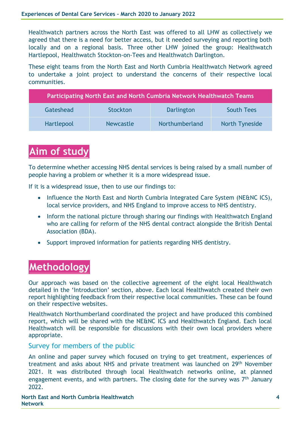Healthwatch partners across the North East was offered to all LHW as collectively we agreed that there is a need for better access, but it needed surveying and reporting both locally and on a regional basis. Three other LHW joined the group: Healthwatch Hartlepool, Healthwatch Stockton-on-Tees and Healthwatch Darlington.

These eight teams from the North East and North Cumbria Healthwatch Network agreed to undertake a joint project to understand the concerns of their respective local communities.

| Participating North East and North Cumbria Network Healthwatch Teams |           |                |                       |  |
|----------------------------------------------------------------------|-----------|----------------|-----------------------|--|
| Gateshead                                                            | Stockton  | Darlington     | <b>South Tees</b>     |  |
| Hartlepool                                                           | Newcastle | Northumberland | <b>North Tyneside</b> |  |

# **Aim of study**

To determine whether accessing NHS dental services is being raised by a small number of people having a problem or whether it is a more widespread issue.

If it is a widespread issue, then to use our findings to:

- Influence the North East and North Cumbria Integrated Care System (NE&NC ICS), local service providers, and NHS England to improve access to NHS dentistry.
- Inform the national picture through sharing our findings with Healthwatch England who are calling for reform of the NHS dental contract alongside the British Dental Association (BDA).
- Support improved information for patients regarding NHS dentistry.

# **Methodology**

Our approach was based on the collective agreement of the eight local Healthwatch detailed in the 'Introduction' section, above. Each local Healthwatch created their own report highlighting feedback from their respective local communities. These can be found on their respective websites.

Healthwatch Northumberland coordinated the project and have produced this combined report, which will be shared with the NE&NC ICS and Healthwatch England. Each local Healthwatch will be responsible for discussions with their own local providers where appropriate.

### Survey for members of the public

An online and paper survey which focused on trying to get treatment, experiences of treatment and asks about NHS and private treatment was launched on 29<sup>th</sup> November 2021. It was distributed through local Healthwatch networks online, at planned engagement events, and with partners. The closing date for the survey was 7<sup>th</sup> January 2022.

**North East and North Cumbria Healthwatch Network**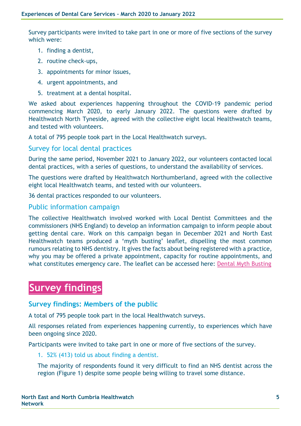Survey participants were invited to take part in one or more of five sections of the survey which were:

- 1. finding a dentist,
- 2. routine check-ups,
- 3. appointments for minor issues,
- 4. urgent appointments, and
- 5. treatment at a dental hospital.

We asked about experiences happening throughout the COVID-19 pandemic period commencing March 2020, to early January 2022. The questions were drafted by Healthwatch North Tyneside, agreed with the collective eight local Healthwatch teams, and tested with volunteers.

A total of 795 people took part in the Local Healthwatch surveys.

### Survey for local dental practices

During the same period, November 2021 to January 2022, our volunteers contacted local dental practices, with a series of questions, to understand the availability of services.

The questions were drafted by Healthwatch Northumberland, agreed with the collective eight local Healthwatch teams, and tested with our volunteers.

36 dental practices responded to our volunteers.

### Public information campaign

The collective Healthwatch involved worked with Local Dentist Committees and the commissioners (NHS England) to develop an information campaign to inform people about getting dental care. Work on this campaign began in December 2021 and North East Healthwatch teams produced a 'myth busting' leaflet, dispelling the most common rumours relating to NHS dentistry. It gives the facts about being registered with a practice, why you may be offered a private appointment, capacity for routine appointments, and what constitutes emergency care. The leaflet can be accessed here: [Dental Myth Busting](https://www.healthwatchdarlington.co.uk/sites/healthwatchdarlington.co.uk/files/Dental-myth-busting-HW-North-East-partnership.pdf)

# **Survey findings**

### **Survey findings: Members of the public**

A total of 795 people took part in the local Healthwatch surveys.

All responses related from experiences happening currently, to experiences which have been ongoing since 2020.

Participants were invited to take part in one or more of five sections of the survey.

1. 52% (413) told us about finding a dentist.

The majority of respondents found it very difficult to find an NHS dentist across the region (Figure 1) despite some people being willing to travel some distance.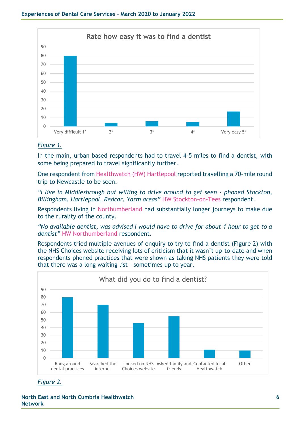

#### *Figure 1.*

In the main, urban based respondents had to travel 4-5 miles to find a dentist, with some being prepared to travel significantly further.

One respondent from Healthwatch (HW) Hartlepool reported travelling a 70-mile round trip to Newcastle to be seen.

*"I live in Middlesbrough but willing to drive around to get seen - phoned Stockton, Billingham, Hartlepool, Redcar, Yarm areas"* HW Stockton-on-Tees respondent.

Respondents living in Northumberland had substantially longer journeys to make due to the rurality of the county.

*"No available dentist, was advised I would have to drive for about 1 hour to get to a dentist"* HW Northumberland respondent.

Respondents tried multiple avenues of enquiry to try to find a dentist (Figure 2) with the NHS Choices website receiving lots of criticism that it wasn't up-to-date and when respondents phoned practices that were shown as taking NHS patients they were told that there was a long waiting list – sometimes up to year.



*Figure 2.*

**North East and North Cumbria Healthwatch Network**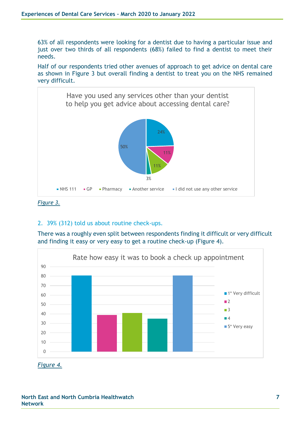63% of all respondents were looking for a dentist due to having a particular issue and just over two thirds of all respondents (68%) failed to find a dentist to meet their needs.

Half of our respondents tried other avenues of approach to get advice on dental care as shown in Figure 3 but overall finding a dentist to treat you on the NHS remained very difficult.



*Figure 3.*

### 2. 39% (312) told us about routine check-ups.

There was a roughly even split between respondents finding it difficult or very difficult and finding it easy or very easy to get a routine check-up (Figure 4).



*Figure 4.*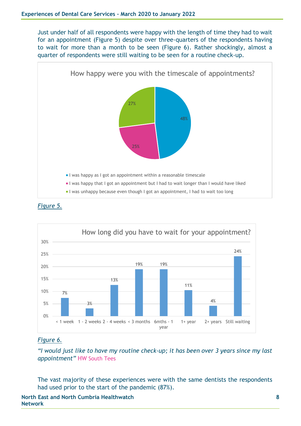Just under half of all respondents were happy with the length of time they had to wait for an appointment (Figure 5) despite over three-quarters of the respondents having to wait for more than a month to be seen (Figure 6). Rather shockingly, almost a quarter of respondents were still waiting to be seen for a routine check-up.







### *Figure 6.*

*"I would just like to have my routine check-up; it has been over 3 years since my last appointment"* HW South Tees

The vast majority of these experiences were with the same dentists the respondents had used prior to the start of the pandemic (87%).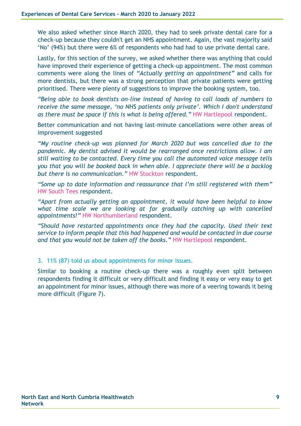We also asked whether since March 2020, they had to seek private dental care for a check-up because they couldn't get an NHS appointment. Again, the vast majority said 'No' (94%) but there were 6% of respondents who had had to use private dental care.

Lastly, for this section of the survey, we asked whether there was anything that could have improved their experience of getting a check-up appointment. The most common comments were along the lines of *"Actually getting an appointment"* and calls for more dentists, but there was a strong perception that private patients were getting prioritised. There were plenty of suggestions to improve the booking system, too.

*"Being able to book dentists on-line instead of having to call loads of numbers to receive the same message, 'no NHS patients only private'. Which I don't understand as there must be space if this is what is being offered."* HW Hartlepool respondent.

Better communication and not having last-minute cancellations were other areas of improvement suggested

*"My routine check-up was planned for March 2020 but was cancelled due to the pandemic. My dentist advised it would be rearranged once restrictions allow. I am still waiting to be contacted. Every time you call the automated voice message tells you that you will be booked back in when able. I appreciate there will be a backlog but there is no communication."* HW Stockton respondent.

*"Some up to date information and reassurance that I'm still registered with them"* HW South Tees respondent.

*"Apart from actually getting an appointment, it would have been helpful to know what time scale we are looking at for gradually catching up with cancelled appointments!"* HW Northumberland respondent.

*"Should have restarted appointments once they had the capacity. Used their text service to inform people that this had happened and would be contacted in due course and that you would not be taken off the books."* HW Hartlepool respondent.

3. 11% (87) told us about appointments for minor issues.

Similar to booking a routine check-up there was a roughly even split between respondents finding it difficult or very difficult and finding it easy or very easy to get an appointment for minor issues, although there was more of a veering towards it being more difficult (Figure 7).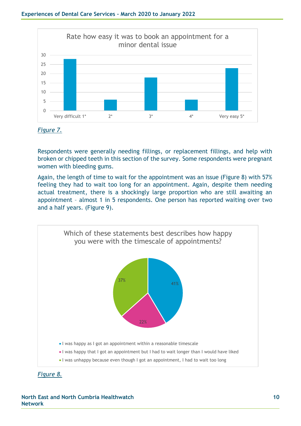



Respondents were generally needing fillings, or replacement fillings, and help with broken or chipped teeth in this section of the survey. Some respondents were pregnant women with bleeding gums.

Again, the length of time to wait for the appointment was an issue (Figure 8) with 57% feeling they had to wait too long for an appointment. Again, despite them needing actual treatment, there is a shockingly large proportion who are still awaiting an appointment – almost 1 in 5 respondents. One person has reported waiting over two and a half years. (Figure 9).



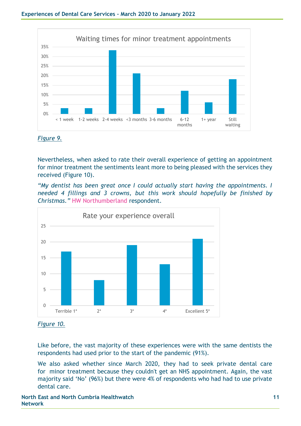

*Figure 9.*

Nevertheless, when asked to rate their overall experience of getting an appointment for minor treatment the sentiments leant more to being pleased with the services they received (Figure 10).

*"My dentist has been great once I could actually start having the appointments. I needed 4 fillings and 3 crowns, but this work should hopefully be finished by Christmas."* HW Northumberland respondent.





Like before, the vast majority of these experiences were with the same dentists the respondents had used prior to the start of the pandemic (91%).

We also asked whether since March 2020, they had to seek private dental care for minor treatment because they couldn't get an NHS appointment. Again, the vast majority said 'No' (96%) but there were 4% of respondents who had had to use private dental care.

**North East and North Cumbria Healthwatch Network**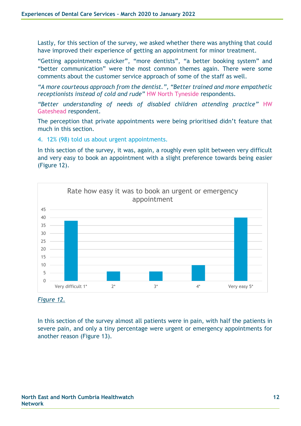Lastly, for this section of the survey, we asked whether there was anything that could have improved their experience of getting an appointment for minor treatment.

"Getting appointments quicker", "more dentists", "a better booking system" and "better communication" were the most common themes again. There were some comments about the customer service approach of some of the staff as well.

*"A more courteous approach from the dentist.", "Better trained and more empathetic receptionists instead of cold and rude"* HW North Tyneside respondents.

*"Better understanding of needs of disabled children attending practice"* HW Gateshead respondent.

The perception that private appointments were being prioritised didn't feature that much in this section.

4. 12% (98) told us about urgent appointments.

In this section of the survey, it was, again, a roughly even split between very difficult and very easy to book an appointment with a slight preference towards being easier (Figure 12).



*Figure 12.*

In this section of the survey almost all patients were in pain, with half the patients in severe pain, and only a tiny percentage were urgent or emergency appointments for another reason (Figure 13).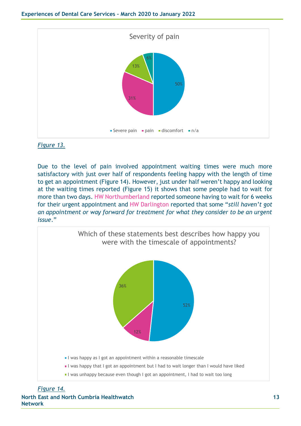

#### *Figure 13.*

Due to the level of pain involved appointment waiting times were much more satisfactory with just over half of respondents feeling happy with the length of time to get an appointment (Figure 14). However, just under half weren't happy and looking at the waiting times reported (Figure 15) it shows that some people had to wait for more than two days. HW Northumberland reported someone having to wait for 6 weeks for their urgent appointment and HW Darlington reported that some "*still haven't got an appointment or way forward for treatment for what they consider to be an urgent issue*."



**North East and North Cumbria Healthwatch Network** *Figure 14.*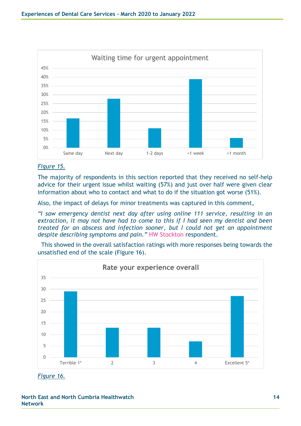

#### *Figure 15.*

The majority of respondents in this section reported that they received no self-help advice for their urgent issue whilst waiting (57%) and just over half were given clear information about who to contact and what to do if the situation got worse (51%).

Also, the impact of delays for minor treatments was captured in this comment,

*"I saw emergency dentist next day after using online 111 service, resulting in an extraction, it may not have had to come to this if I had seen my dentist and been treated for an abscess and infection sooner, but I could not get an appointment despite describing symptoms and pain."* HW Stockton respondent.

This showed in the overall satisfaction ratings with more responses being towards the unsatisfied end of the scale (Figure 16).



*Figure 16.*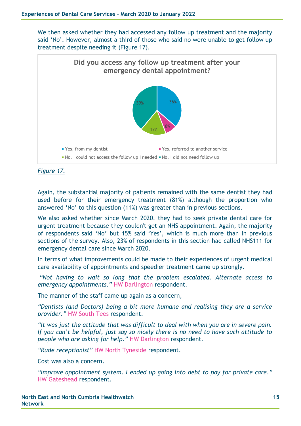We then asked whether they had accessed any follow up treatment and the majority said 'No'. However, almost a third of those who said no were unable to get follow up treatment despite needing it (Figure 17).



*Figure 17.*

Again, the substantial majority of patients remained with the same dentist they had used before for their emergency treatment (81%) although the proportion who answered 'No' to this question (11%) was greater than in previous sections.

We also asked whether since March 2020, they had to seek private dental care for urgent treatment because they couldn't get an NHS appointment. Again, the majority of respondents said 'No' but 15% said 'Yes', which is much more than in previous sections of the survey. Also, 23% of respondents in this section had called NHS111 for emergency dental care since March 2020.

In terms of what improvements could be made to their experiences of urgent medical care availability of appointments and speedier treatment came up strongly.

*"Not having to wait so long that the problem escalated. Alternate access to emergency appointments."* HW Darlington respondent.

The manner of the staff came up again as a concern,

*"Dentists (and Doctors) being a bit more humane and realising they are a service provider."* HW South Tees respondent.

*"It was just the attitude that was difficult to deal with when you are in severe pain. If you can't be helpful, just say so nicely there is no need to have such attitude to people who are asking for help."* HW Darlington respondent.

*"Rude receptionist"* HW North Tyneside respondent.

Cost was also a concern.

*"Improve appointment system. I ended up going into debt to pay for private care."* HW Gateshead respondent.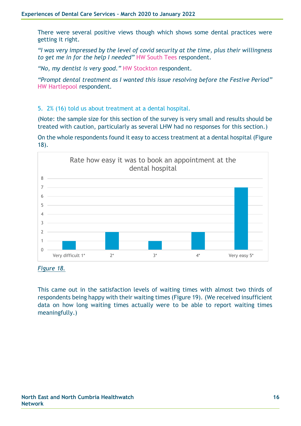There were several positive views though which shows some dental practices were getting it right.

*"I was very impressed by the level of covid security at the time, plus their willingness to get me in for the help I needed"* HW South Tees respondent.

*"No, my dentist is very good."* HW Stockton respondent.

*"Prompt dental treatment as I wanted this issue resolving before the Festive Period"* HW Hartlepool respondent.

5. 2% (16) told us about treatment at a dental hospital.

(Note: the sample size for this section of the survey is very small and results should be treated with caution, particularly as several LHW had no responses for this section.)

On the whole respondents found it easy to access treatment at a dental hospital (Figure 18).



*Figure 18.*

This came out in the satisfaction levels of waiting times with almost two thirds of respondents being happy with their waiting times (Figure 19). (We received insufficient data on how long waiting times actually were to be able to report waiting times meaningfully.)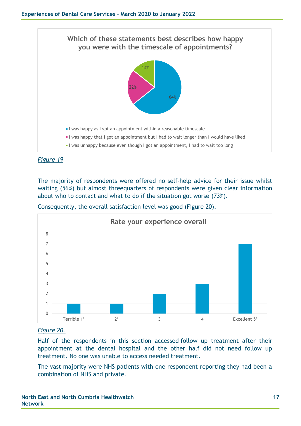

The majority of respondents were offered no self-help advice for their issue whilst waiting (56%) but almost threequarters of respondents were given clear information about who to contact and what to do if the situation got worse (73%).

Consequently, the overall satisfaction level was good (Figure 20).



### *Figure 20.*

Half of the respondents in this section accessed follow up treatment after their appointment at the dental hospital and the other half did not need follow up treatment. No one was unable to access needed treatment.

The vast majority were NHS patients with one respondent reporting they had been a combination of NHS and private.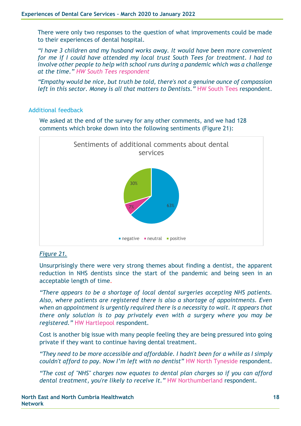There were only two responses to the question of what improvements could be made to their experiences of dental hospital.

*"I have 3 children and my husband works away. It would have been more convenient for me if I could have attended my local trust South Tees for treatment. I had to involve other people to help with school runs during a pandemic which was a challenge at the time." HW South Tees respondent*

*"Empathy would be nice, but truth be told, there's not a genuine ounce of compassion left in this sector. Money is all that matters to Dentists."* HW South Tees respondent.

### Additional feedback

We asked at the end of the survey for any other comments, and we had 128 comments which broke down into the following sentiments (Figure 21):



### *Figure 21.*

Unsurprisingly there were very strong themes about finding a dentist, the apparent reduction in NHS dentists since the start of the pandemic and being seen in an acceptable length of time.

*"There appears to be a shortage of local dental surgeries accepting NHS patients. Also, where patients are registered there is also a shortage of appointments. Even when an appointment is urgently required there is a necessity to wait. It appears that there only solution is to pay privately even with a surgery where you may be registered."* HW Hartlepool respondent.

Cost is another big issue with many people feeling they are being pressured into going private if they want to continue having dental treatment.

*"They need to be more accessible and affordable. I hadn't been for a while as I simply couldn't afford to pay. Now I'm left with no dentist"* HW North Tyneside respondent.

*"The cost of "NHS" charges now equates to dental plan charges so if you can afford dental treatment, you're likely to receive it."* HW Northumberland respondent.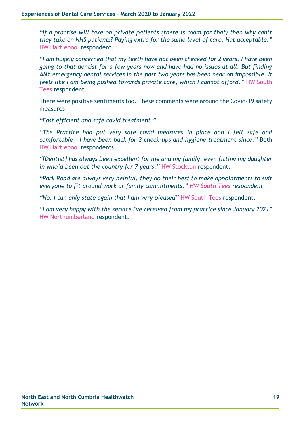*"If a practise will take on private patients (there is room for that) then why can't they take on NHS patients? Paying extra for the same level of care. Not acceptable."*  HW Hartlepool respondent.

*"I am hugely concerned that my teeth have not been checked for 2 years. I have been going to that dentist for a few years now and have had no issues at all. But finding ANY emergency dental services in the past two years has been near on impossible. It feels like I am being pushed towards private care, which I cannot afford."* HW South Tees respondent.

There were positive sentiments too. These comments were around the Covid-19 safety measures,

*"Fast efficient and safe covid treatment."*

*"The Practice had put very safe covid measures in place and I felt safe and comfortable - I have been back for 2 check-ups and hygiene treatment since."* Both HW Hartlepool respondents.

*"[Dentist] has always been excellent for me and my family, even fitting my daughter in who'd been out the country for 7 years."* HW Stockton respondent.

*"Park Road are always very helpful, they do their best to make appointments to suit everyone to fit around work or family commitments." HW South Tees respondent*

*"No. I can only state again that I am very pleased"* HW South Tees respondent.

*"I am very happy with the service I've received from my practice since January 2021"*  HW Northumberland respondent.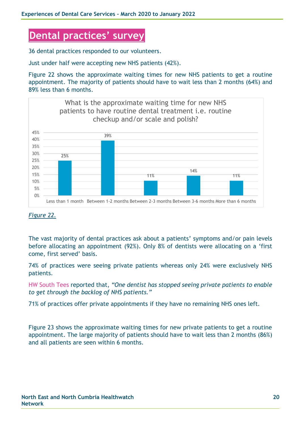# **Dental practices' survey**

36 dental practices responded to our volunteers.

Just under half were accepting new NHS patients (42%).

Figure 22 shows the approximate waiting times for new NHS patients to get a routine appointment. The majority of patients should have to wait less than 2 months (64%) and 89% less than 6 months.



#### *Figure 22.*

The vast majority of dental practices ask about a patients' symptoms and/or pain levels before allocating an appointment (92%). Only 8% of dentists were allocating on a 'first come, first served' basis.

74% of practices were seeing private patients whereas only 24% were exclusively NHS patients.

HW South Tees reported that, *"One dentist has stopped seeing private patients to enable to get through the backlog of NHS patients."*

71% of practices offer private appointments if they have no remaining NHS ones left.

Figure 23 shows the approximate waiting times for new private patients to get a routine appointment. The large majority of patients should have to wait less than 2 months (86%) and all patients are seen within 6 months.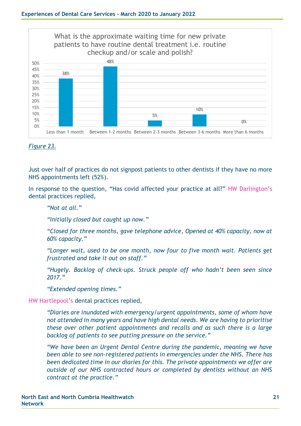

#### *Figure 23.*

Just over half of practices do not signpost patients to other dentists if they have no more NHS appointments left (52%).

In response to the question, "Has covid affected your practice at all?" HW Darlington's dental practices replied,

*"Not at all."*

*"Initially closed but caught up now."*

*"Closed for three months, gave telephone advice, Opened at 40% capacity, now at 60% capacity."*

*"Longer wait, used to be one month, now four to five month wait. Patients get frustrated and take it out on staff."*

*"Hugely. Backlog of check-ups. Struck people off who hadn't been seen since 2017."*

*"Extended opening times."*

HW Hartlepool's dental practices replied,

*"Diaries are inundated with emergency/urgent appointments, some of whom have not attended in many years and have high dental needs. We are having to prioritise these over other patient appointments and recalls and as such there is a large backlog of patients to see putting pressure on the service."*

*"We have been an Urgent Dental Centre during the pandemic, meaning we have been able to see non-registered patients in emergencies under the NHS. There has been dedicated time in our diaries for this. The private appointments we offer are outside of our NHS contracted hours or completed by dentists without an NHS contract at the practice."*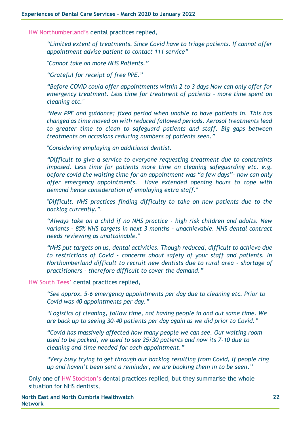HW Northumberland's dental practices replied,

*"Limited extent of treatments. Since Covid have to triage patients. If cannot offer appointment advise patient to contact 111 service"*

*"Cannot take on more NHS Patients."*

*"Grateful for receipt of free PPE."*

*"Before COVID could offer appointments within 2 to 3 days Now can only offer for emergency treatment. Less time for treatment of patients - more time spent on cleaning etc."*

*"New PPE and guidance; fixed period when unable to have patients in. This has changed as time moved on with reduced fallowed periods. Aerosol treatments lead to greater time to clean to safeguard patients and staff. Big gaps between treatments on occasions reducing numbers of patients seen."*

*"Considering employing an additional dentist.* 

*"Difficult to give a service to everyone requesting treatment due to constraints imposed. Less time for patients more time on cleaning safeguarding etc. e.g. before covid the waiting time for an appointment was "a few days"- now can only offer emergency appointments. Have extended opening hours to cope with demand hence consideration of employing extra staff."*

*"Difficult. NHS practices finding difficulty to take on new patients due to the backlog currently.".*

*"Always take on a child if no NHS practice - high risk children and adults. New variants - 85% NHS targets in next 3 months - unachievable. NHS dental contract needs reviewing as unattainable."*

*"NHS put targets on us, dental activities. Though reduced, difficult to achieve due to restrictions of Covid - concerns about safety of your staff and patients. In Northumberland difficult to recruit new dentists due to rural area - shortage of practitioners - therefore difficult to cover the demand."*

HW South Tees' dental practices replied,

*"See approx. 5-6 emergency appointments per day due to cleaning etc. Prior to Covid was 40 appointments per day."*

*"Logistics of cleaning, fallow time, not having people in and out same time. We are back up to seeing 30-40 patients per day again as we did prior to Covid."*

*"Covid has massively affected how many people we can see. Our waiting room used to be packed, we used to see 25/30 patients and now its 7-10 due to cleaning and time needed for each appointment."*

*"Very busy trying to get through our backlog resulting from Covid, if people ring up and haven't been sent a reminder, we are booking them in to be seen."*

Only one of HW Stockton's dental practices replied, but they summarise the whole situation for NHS dentists,

**North East and North Cumbria Healthwatch Network**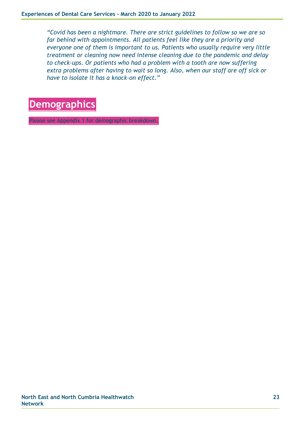*"Covid has been a nightmare. There are strict guidelines to follow so we are so far behind with appointments. All patients feel like they are a priority and everyone one of them is important to us. Patients who usually require very little treatment or cleaning now need intense cleaning due to the pandemic and delay to check-ups. Or patients who had a problem with a tooth are now suffering extra problems after having to wait so long. Also, when our staff are off sick or have to isolate it has a knock-on effect."*



Please see Appendix 1 for demographic breakdown.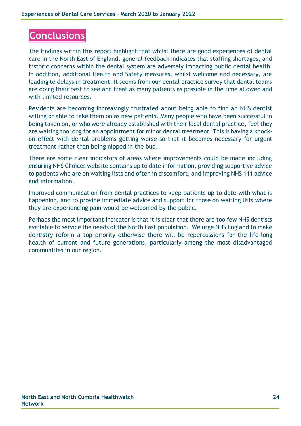# **Conclusions**

The findings within this report highlight that whilst there are good experiences of dental care in the North East of England, general feedback indicates that staffing shortages, and historic concerns within the dental system are adversely impacting public dental health. In addition, additional Health and Safety measures, whilst welcome and necessary, are leading to delays in treatment. It seems from our dental practice survey that dental teams are doing their best to see and treat as many patients as possible in the time allowed and with limited resources.

Residents are becoming increasingly frustrated about being able to find an NHS dentist willing or able to take them on as new patients. Many people who have been successful in being taken on, or who were already established with their local dental practice, feel they are waiting too long for an appointment for minor dental treatment. This is having a knockon effect with dental problems getting worse so that it becomes necessary for urgent treatment rather than being nipped in the bud.

There are some clear indicators of areas where improvements could be made including ensuring NHS Choices website contains up to date information, providing supportive advice to patients who are on waiting lists and often in discomfort, and improving NHS 111 advice and information.

Improved communication from dental practices to keep patients up to date with what is happening, and to provide immediate advice and support for those on waiting lists where they are experiencing pain would be welcomed by the public.

Perhaps the most important indicator is that it is clear that there are too few NHS dentists available to service the needs of the North East population. We urge NHS England to make dentistry reform a top priority otherwise there will be repercussions for the life-long health of current and future generations, particularly among the most disadvantaged communities in our region.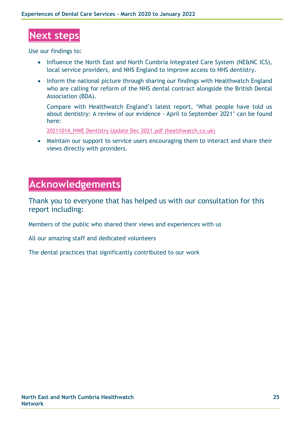# **Next steps**

Use our findings to:

- Influence the North East and North Cumbria Integrated Care System (NE&NC ICS), local service providers, and NHS England to improve access to NHS dentistry.
- Inform the national picture through sharing our findings with Healthwatch England who are calling for reform of the NHS dental contract alongside the British Dental Association (BDA).

Compare with Healthwatch England's latest report, 'What people have told us about dentistry: A review of our evidence - April to September 2021' can be found here:

[20211014\\_HWE Dentistry Update Dec 2021.pdf \(healthwatch.co.uk\)](https://www.healthwatch.co.uk/sites/healthwatch.co.uk/files/reports-library/20211014_HWE%20Dentistry%20Update%20Dec%202021.pdf)

• Maintain our support to service users encouraging them to interact and share their views directly with providers.

# **Acknowledgements**

Thank you to everyone that has helped us with our consultation for this report including:

Members of the public who shared their views and experiences with us

All our amazing staff and dedicated volunteers

The dental practices that significantly contributed to our work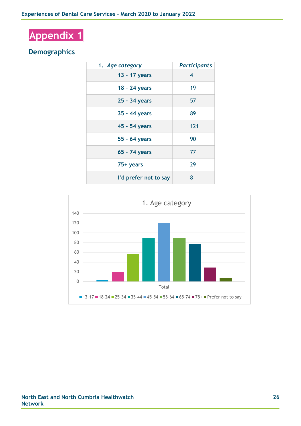# **Appendix 1**

### **Demographics**

| 1. Age category       | <b>Participants</b> |
|-----------------------|---------------------|
| 13 - 17 years         | 4                   |
| 18 - 24 years         | 19                  |
| 25 - 34 years         | 57                  |
| 35 - 44 years         | 89                  |
| 45 - 54 years         | 121                 |
| 55 - 64 years         | 90                  |
| 65 - 74 years         | 77                  |
| 75+ years             | 29                  |
| I'd prefer not to say | 8                   |

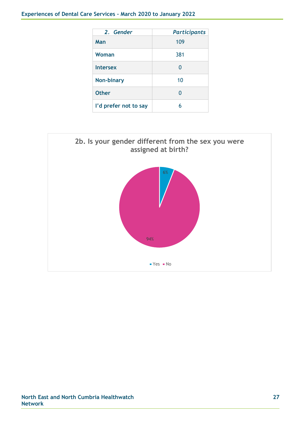| 2. Gender             | <b>Participants</b> |
|-----------------------|---------------------|
| Man                   | 109                 |
| Woman                 | 381                 |
| <b>Intersex</b>       | 0                   |
| <b>Non-binary</b>     | 10                  |
| <b>Other</b>          | N                   |
| I'd prefer not to say | 6                   |

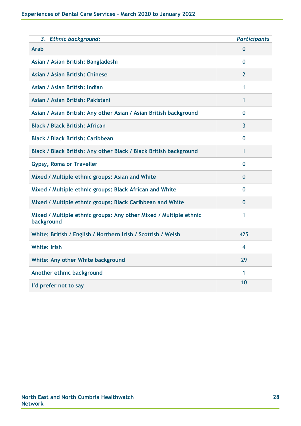| 3. Ethnic background:                                                           | <b>Participants</b> |
|---------------------------------------------------------------------------------|---------------------|
| <b>Arab</b>                                                                     | 0                   |
| Asian / Asian British: Bangladeshi                                              | $\Omega$            |
| Asian / Asian British: Chinese                                                  | 2                   |
| Asian / Asian British: Indian                                                   | 1                   |
| Asian / Asian British: Pakistani                                                | 1                   |
| Asian / Asian British: Any other Asian / Asian British background               | 0                   |
| <b>Black / Black British: African</b>                                           | 3                   |
| <b>Black / Black British: Caribbean</b>                                         | $\overline{0}$      |
| Black / Black British: Any other Black / Black British background               | 1                   |
| <b>Gypsy, Roma or Traveller</b>                                                 | 0                   |
| Mixed / Multiple ethnic groups: Asian and White                                 | 0                   |
| Mixed / Multiple ethnic groups: Black African and White                         | 0                   |
| Mixed / Multiple ethnic groups: Black Caribbean and White                       | 0                   |
| Mixed / Multiple ethnic groups: Any other Mixed / Multiple ethnic<br>background | 1                   |
| White: British / English / Northern Irish / Scottish / Welsh                    | 425                 |
| <b>White: Irish</b>                                                             | 4                   |
| White: Any other White background                                               | 29                  |
| Another ethnic background                                                       | 1                   |
| I'd prefer not to say                                                           | 10                  |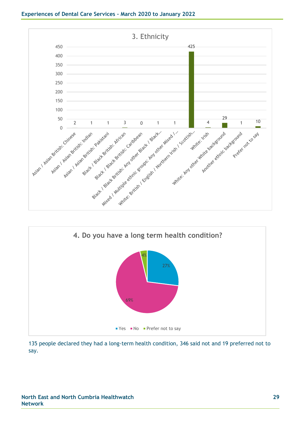



 people declared they had a long-term health condition, 346 said not and 19 preferred not to say.